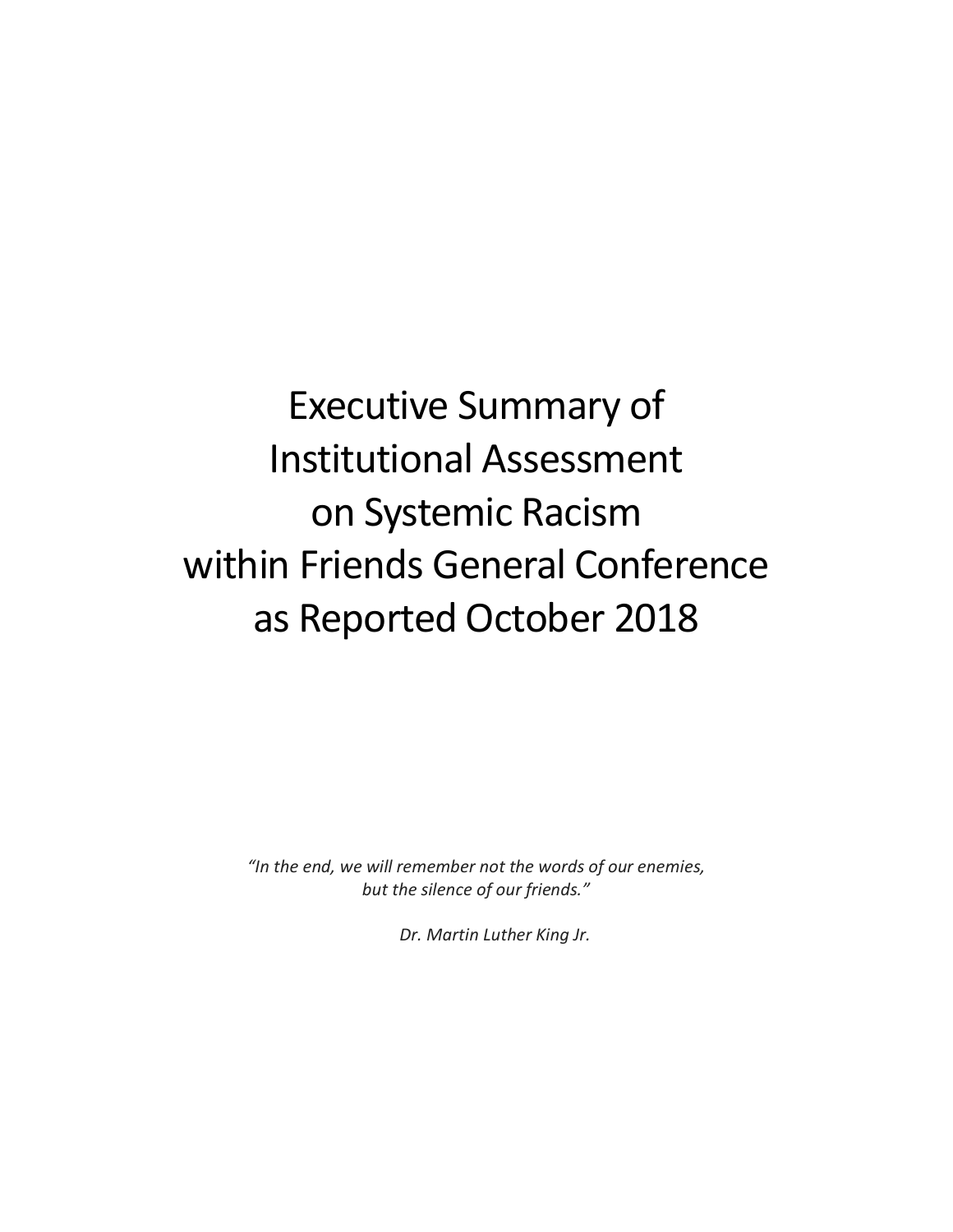# Executive Summary of Institutional Assessment on Systemic Racism within Friends General Conference as Reported October 2018

*"In the end, we will remember not the words of our enemies, but the silence of our friends."*

 *Dr. Martin Luther King Jr.*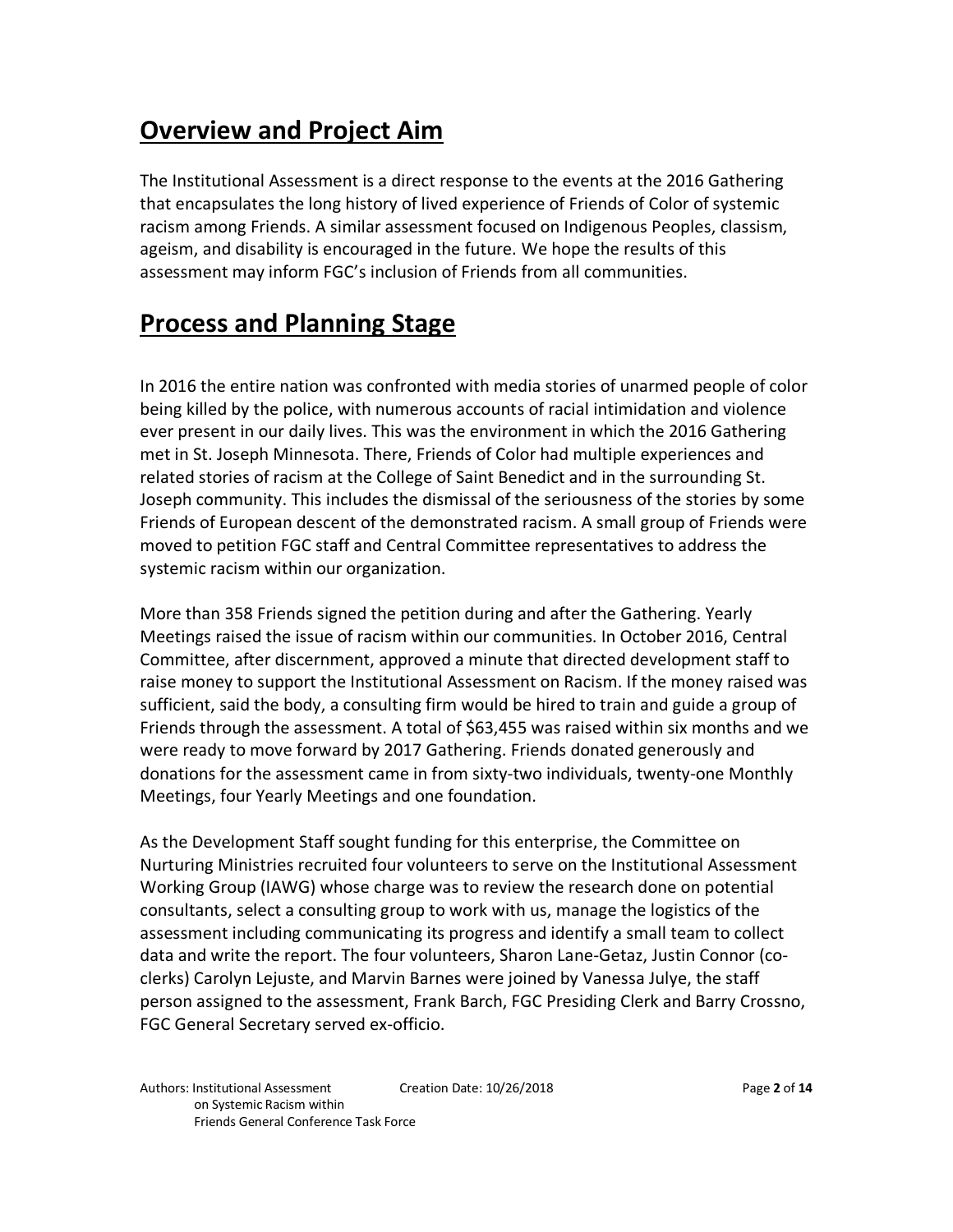# **Overview and Project Aim**

The Institutional Assessment is a direct response to the events at the 2016 Gathering that encapsulates the long history of lived experience of Friends of Color of systemic racism among Friends. A similar assessment focused on Indigenous Peoples, classism, ageism, and disability is encouraged in the future. We hope the results of this assessment may inform FGC's inclusion of Friends from all communities.

## **Process and Planning Stage**

In 2016 the entire nation was confronted with media stories of unarmed people of color being killed by the police, with numerous accounts of racial intimidation and violence ever present in our daily lives. This was the environment in which the 2016 Gathering met in St. Joseph Minnesota. There, Friends of Color had multiple experiences and related stories of racism at the College of Saint Benedict and in the surrounding St. Joseph community. This includes the dismissal of the seriousness of the stories by some Friends of European descent of the demonstrated racism. A small group of Friends were moved to petition FGC staff and Central Committee representatives to address the systemic racism within our organization.

More than 358 Friends signed the petition during and after the Gathering. Yearly Meetings raised the issue of racism within our communities. In October 2016, Central Committee, after discernment, approved a minute that directed development staff to raise money to support the Institutional Assessment on Racism. If the money raised was sufficient, said the body, a consulting firm would be hired to train and guide a group of Friends through the assessment. A total of \$63,455 was raised within six months and we were ready to move forward by 2017 Gathering. Friends donated generously and donations for the assessment came in from sixty-two individuals, twenty-one Monthly Meetings, four Yearly Meetings and one foundation.

As the Development Staff sought funding for this enterprise, the Committee on Nurturing Ministries recruited four volunteers to serve on the Institutional Assessment Working Group (IAWG) whose charge was to review the research done on potential consultants, select a consulting group to work with us, manage the logistics of the assessment including communicating its progress and identify a small team to collect data and write the report. The four volunteers, Sharon Lane-Getaz, Justin Connor (coclerks) Carolyn Lejuste, and Marvin Barnes were joined by Vanessa Julye, the staff person assigned to the assessment, Frank Barch, FGC Presiding Clerk and Barry Crossno, FGC General Secretary served ex-officio.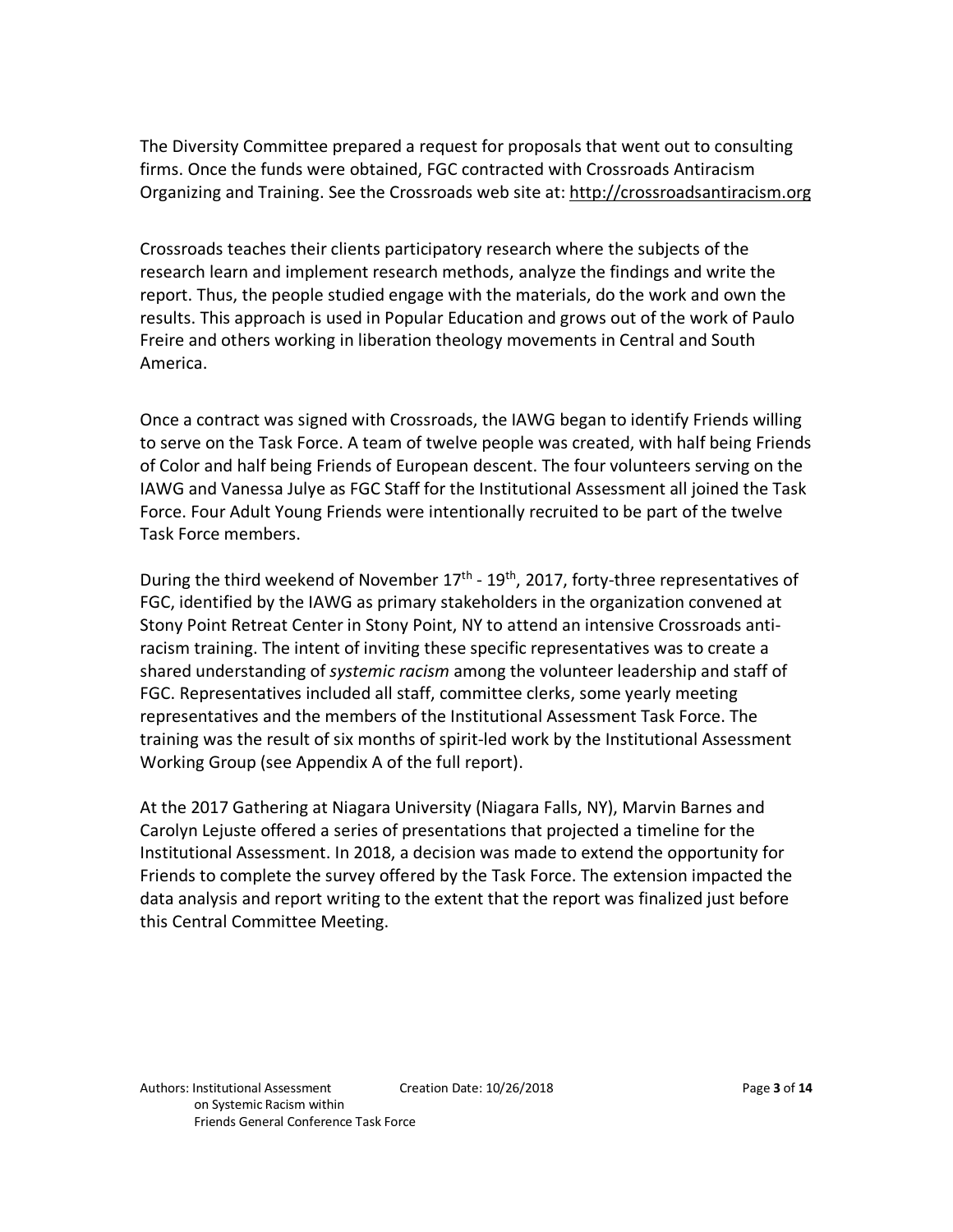The Diversity Committee prepared a request for proposals that went out to consulting firms. Once the funds were obtained, FGC contracted with Crossroads Antiracism Organizing and Training. See the Crossroads web site at: http://crossroadsantiracism.org

Crossroads teaches their clients participatory research where the subjects of the research learn and implement research methods, analyze the findings and write the report. Thus, the people studied engage with the materials, do the work and own the results. This approach is used in Popular Education and grows out of the work of Paulo Freire and others working in liberation theology movements in Central and South America.

Once a contract was signed with Crossroads, the IAWG began to identify Friends willing to serve on the Task Force. A team of twelve people was created, with half being Friends of Color and half being Friends of European descent. The four volunteers serving on the IAWG and Vanessa Julye as FGC Staff for the Institutional Assessment all joined the Task Force. Four Adult Young Friends were intentionally recruited to be part of the twelve Task Force members.

During the third weekend of November  $17<sup>th</sup>$  -  $19<sup>th</sup>$ , 2017, forty-three representatives of FGC, identified by the IAWG as primary stakeholders in the organization convened at Stony Point Retreat Center in Stony Point, NY to attend an intensive Crossroads antiracism training. The intent of inviting these specific representatives was to create a shared understanding of *systemic racism* among the volunteer leadership and staff of FGC. Representatives included all staff, committee clerks, some yearly meeting representatives and the members of the Institutional Assessment Task Force. The training was the result of six months of spirit-led work by the Institutional Assessment Working Group (see Appendix A of the full report).

At the 2017 Gathering at Niagara University (Niagara Falls, NY), Marvin Barnes and Carolyn Lejuste offered a series of presentations that projected a timeline for the Institutional Assessment. In 2018, a decision was made to extend the opportunity for Friends to complete the survey offered by the Task Force. The extension impacted the data analysis and report writing to the extent that the report was finalized just before this Central Committee Meeting.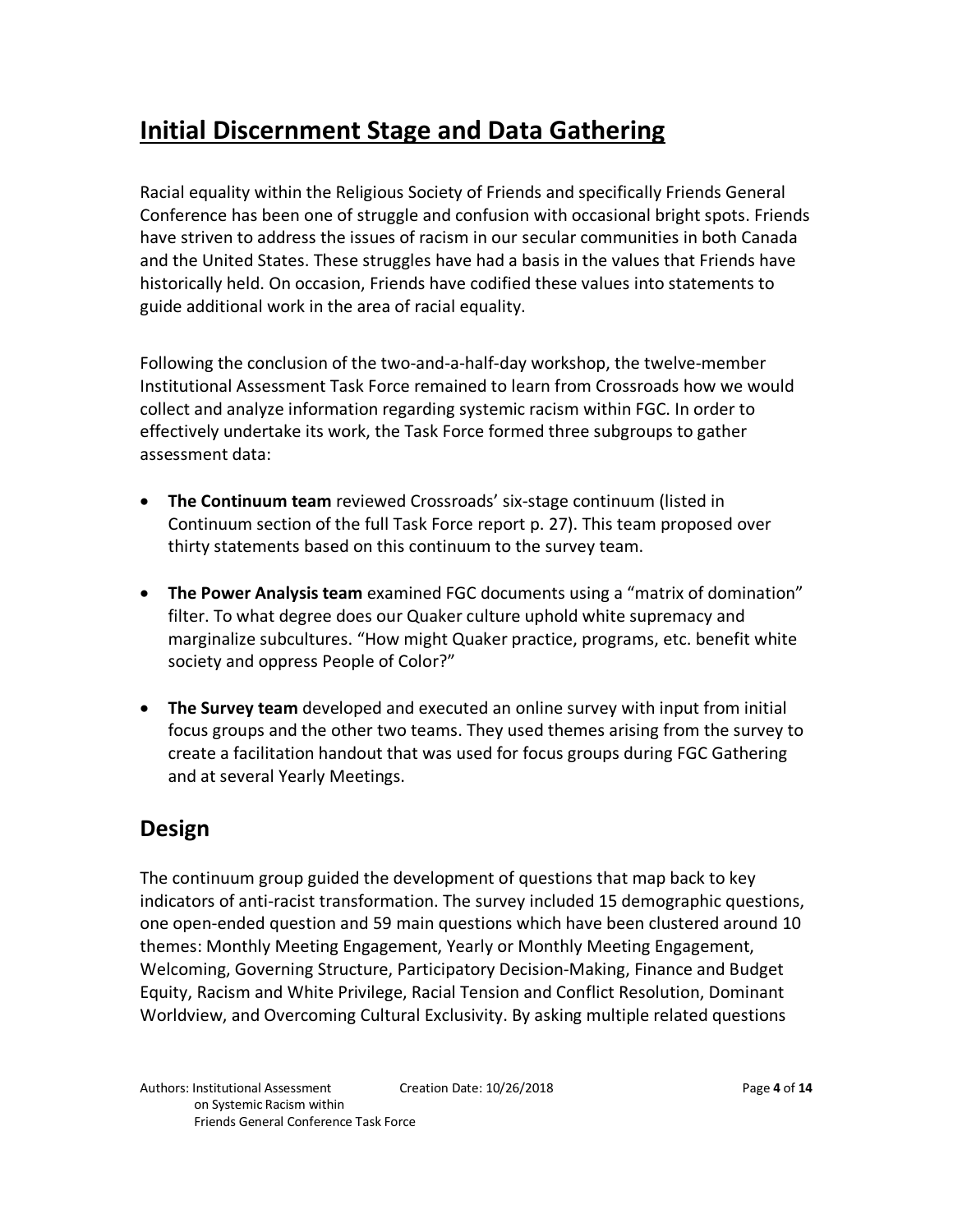## **Initial Discernment Stage and Data Gathering**

Racial equality within the Religious Society of Friends and specifically Friends General Conference has been one of struggle and confusion with occasional bright spots. Friends have striven to address the issues of racism in our secular communities in both Canada and the United States. These struggles have had a basis in the values that Friends have historically held. On occasion, Friends have codified these values into statements to guide additional work in the area of racial equality.

Following the conclusion of the two-and-a-half-day workshop, the twelve-member Institutional Assessment Task Force remained to learn from Crossroads how we would collect and analyze information regarding systemic racism within FGC. In order to effectively undertake its work, the Task Force formed three subgroups to gather assessment data:

- **The Continuum team** reviewed Crossroads' six-stage continuum (listed in Continuum section of the full Task Force report p. 27). This team proposed over thirty statements based on this continuum to the survey team.
- **The Power Analysis team** examined FGC documents using a "matrix of domination" filter. To what degree does our Quaker culture uphold white supremacy and marginalize subcultures. "How might Quaker practice, programs, etc. benefit white society and oppress People of Color?"
- **The Survey team** developed and executed an online survey with input from initial focus groups and the other two teams. They used themes arising from the survey to create a facilitation handout that was used for focus groups during FGC Gathering and at several Yearly Meetings.

### **Design**

The continuum group guided the development of questions that map back to key indicators of anti-racist transformation. The survey included 15 demographic questions, one open-ended question and 59 main questions which have been clustered around 10 themes: Monthly Meeting Engagement, Yearly or Monthly Meeting Engagement, Welcoming, Governing Structure, Participatory Decision-Making, Finance and Budget Equity, Racism and White Privilege, Racial Tension and Conflict Resolution, Dominant Worldview, and Overcoming Cultural Exclusivity. By asking multiple related questions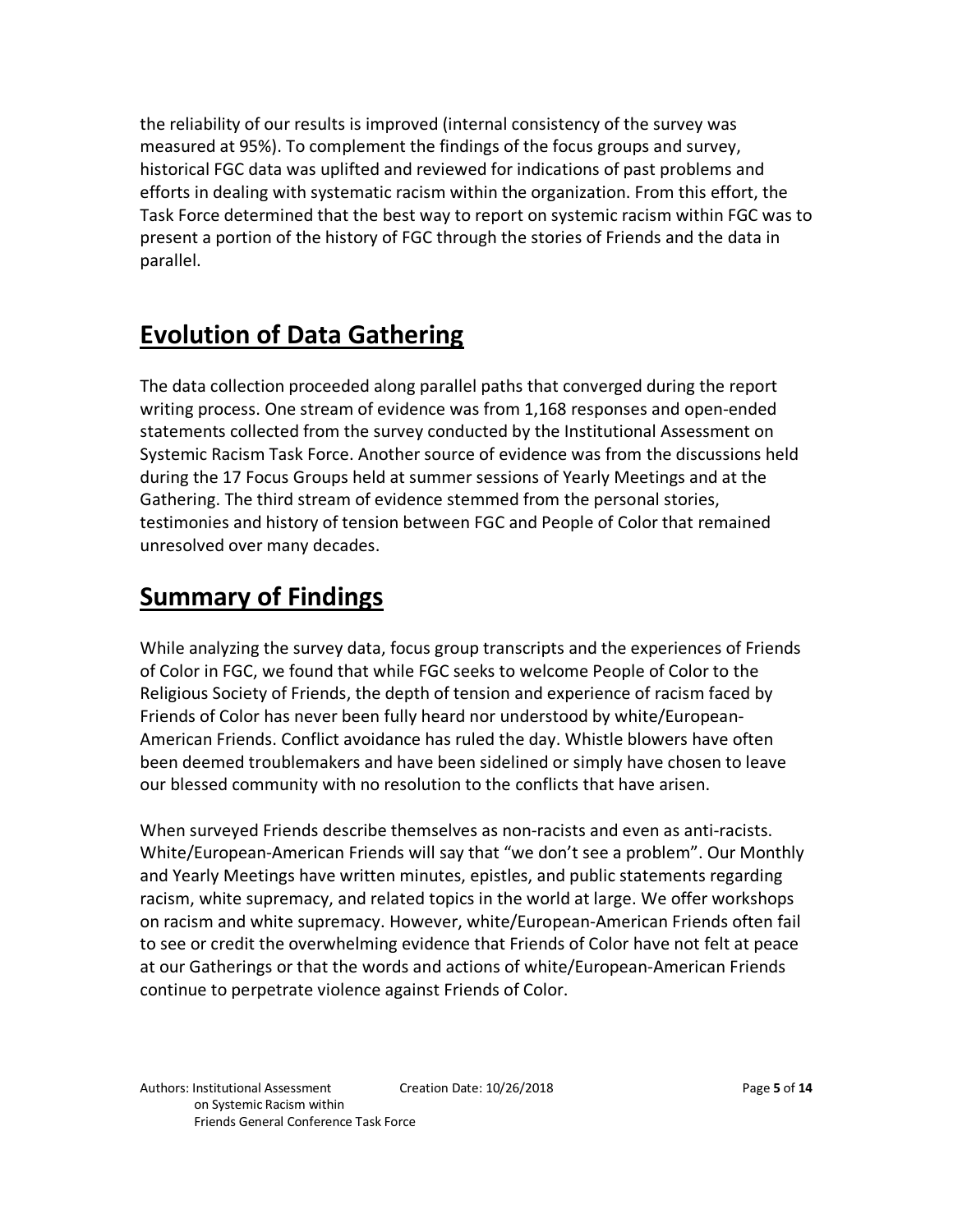the reliability of our results is improved (internal consistency of the survey was measured at 95%). To complement the findings of the focus groups and survey, historical FGC data was uplifted and reviewed for indications of past problems and efforts in dealing with systematic racism within the organization. From this effort, the Task Force determined that the best way to report on systemic racism within FGC was to present a portion of the history of FGC through the stories of Friends and the data in parallel.

## **Evolution of Data Gathering**

The data collection proceeded along parallel paths that converged during the report writing process. One stream of evidence was from 1,168 responses and open-ended statements collected from the survey conducted by the Institutional Assessment on Systemic Racism Task Force. Another source of evidence was from the discussions held during the 17 Focus Groups held at summer sessions of Yearly Meetings and at the Gathering. The third stream of evidence stemmed from the personal stories, testimonies and history of tension between FGC and People of Color that remained unresolved over many decades.

# **Summary of Findings**

While analyzing the survey data, focus group transcripts and the experiences of Friends of Color in FGC, we found that while FGC seeks to welcome People of Color to the Religious Society of Friends, the depth of tension and experience of racism faced by Friends of Color has never been fully heard nor understood by white/European-American Friends. Conflict avoidance has ruled the day. Whistle blowers have often been deemed troublemakers and have been sidelined or simply have chosen to leave our blessed community with no resolution to the conflicts that have arisen.

When surveyed Friends describe themselves as non-racists and even as anti-racists. White/European-American Friends will say that "we don't see a problem". Our Monthly and Yearly Meetings have written minutes, epistles, and public statements regarding racism, white supremacy, and related topics in the world at large. We offer workshops on racism and white supremacy. However, white/European-American Friends often fail to see or credit the overwhelming evidence that Friends of Color have not felt at peace at our Gatherings or that the words and actions of white/European-American Friends continue to perpetrate violence against Friends of Color.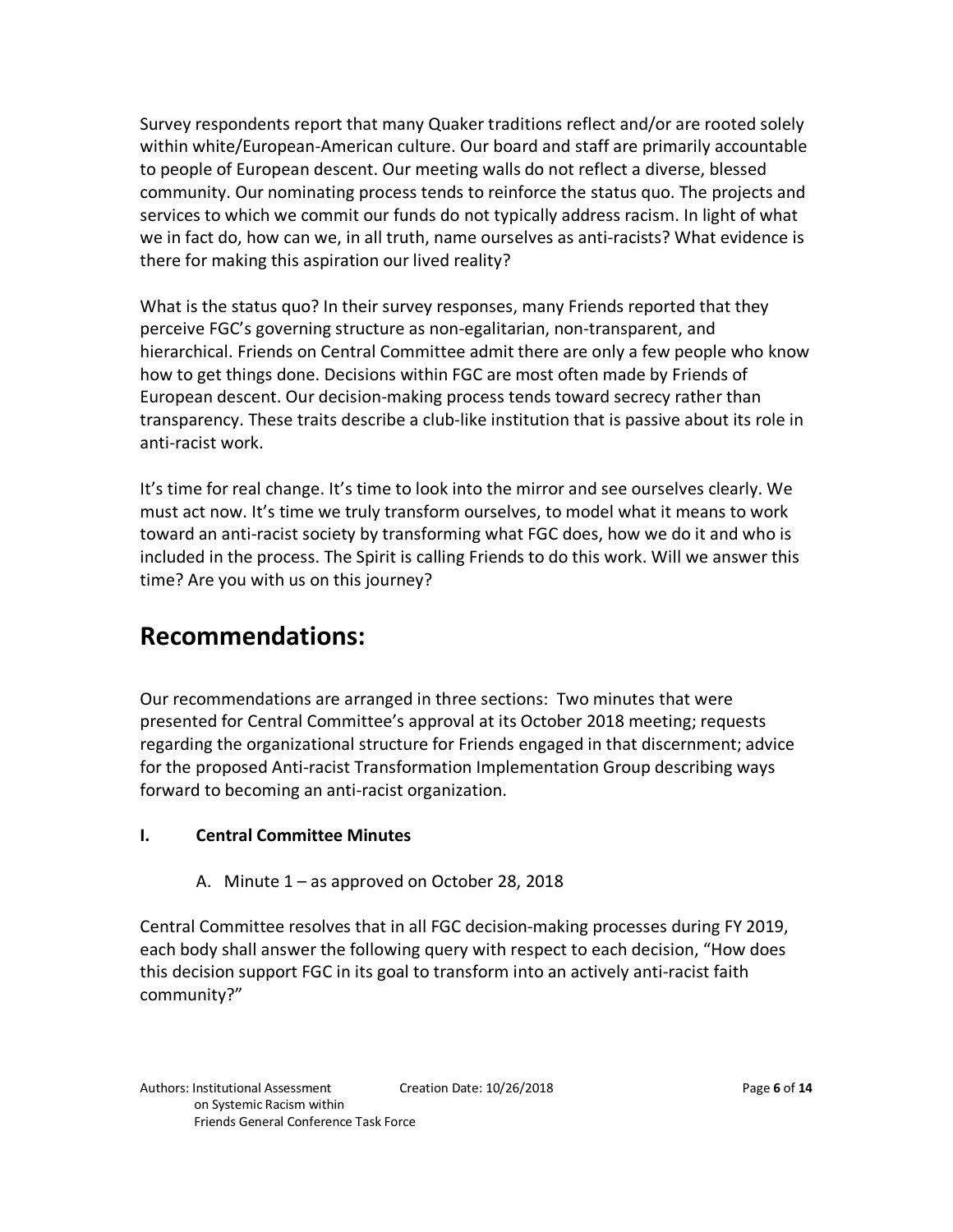Survey respondents report that many Quaker traditions reflect and/or are rooted solely within white/European-American culture. Our board and staff are primarily accountable to people of European descent. Our meeting walls do not reflect a diverse, blessed community. Our nominating process tends to reinforce the status quo. The projects and services to which we commit our funds do not typically address racism. In light of what we in fact do, how can we, in all truth, name ourselves as anti-racists? What evidence is there for making this aspiration our lived reality?

What is the status quo? In their survey responses, many Friends reported that they perceive FGC's governing structure as non-egalitarian, non-transparent, and hierarchical. Friends on Central Committee admit there are only a few people who know how to get things done. Decisions within FGC are most often made by Friends of European descent. Our decision-making process tends toward secrecy rather than transparency. These traits describe a club-like institution that is passive about its role in anti-racist work.

It's time for real change. It's time to look into the mirror and see ourselves clearly. We must act now. It's time we truly transform ourselves, to model what it means to work toward an anti-racist society by transforming what FGC does, how we do it and who is included in the process. The Spirit is calling Friends to do this work. Will we answer this time? Are you with us on this journey?

## **Recommendations:**

Our recommendations are arranged in three sections: Two minutes that were presented for Central Committee's approval at its October 2018 meeting; requests regarding the organizational structure for Friends engaged in that discernment; advice for the proposed Anti-racist Transformation Implementation Group describing ways forward to becoming an anti-racist organization.

#### **I. Central Committee Minutes**

A. Minute 1 – as approved on October 28, 2018

Central Committee resolves that in all FGC decision-making processes during FY 2019, each body shall answer the following query with respect to each decision, "How does this decision support FGC in its goal to transform into an actively anti-racist faith community?"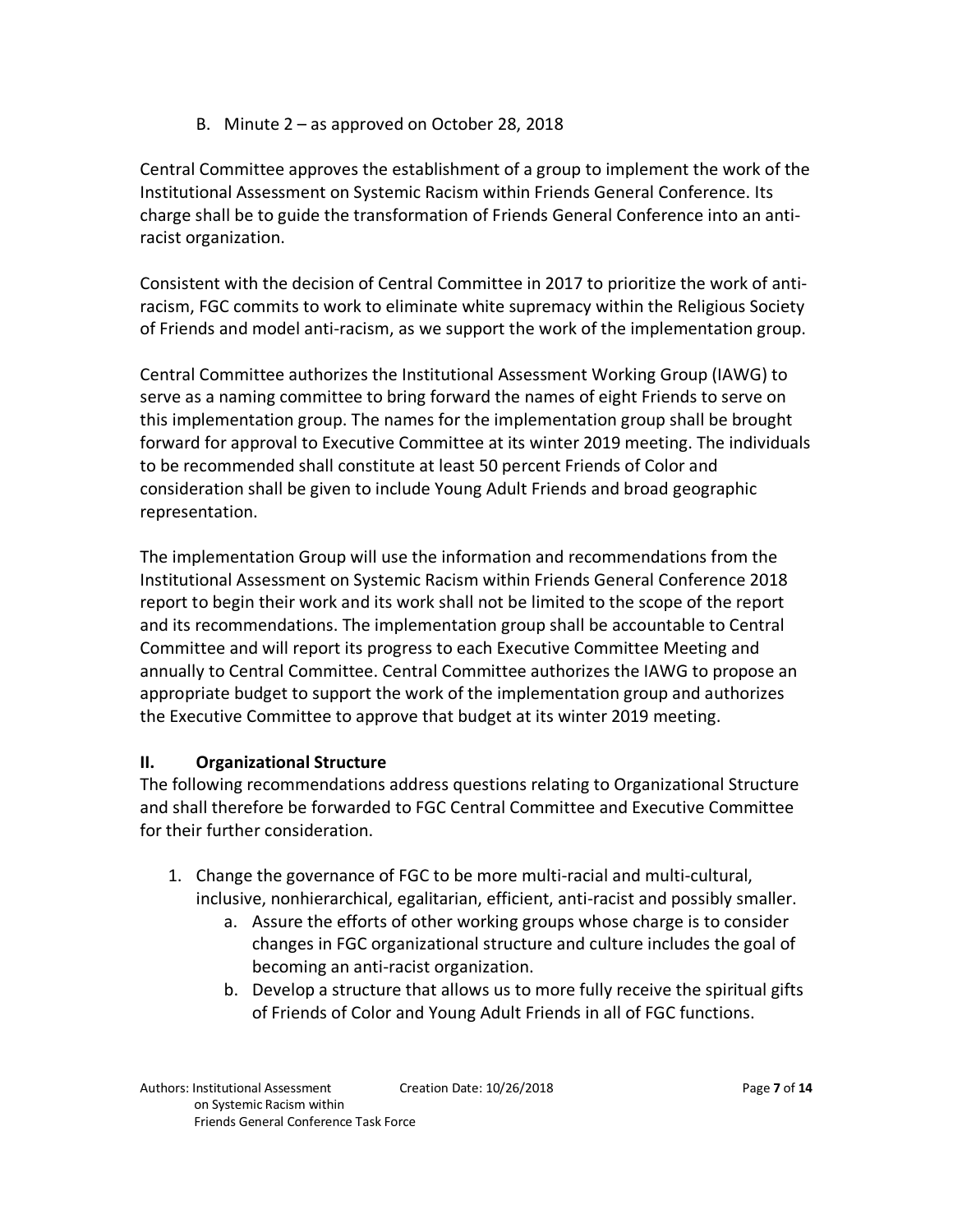B. Minute 2 – as approved on October 28, 2018

Central Committee approves the establishment of a group to implement the work of the Institutional Assessment on Systemic Racism within Friends General Conference. Its charge shall be to guide the transformation of Friends General Conference into an antiracist organization.

Consistent with the decision of Central Committee in 2017 to prioritize the work of antiracism, FGC commits to work to eliminate white supremacy within the Religious Society of Friends and model anti-racism, as we support the work of the implementation group.

Central Committee authorizes the Institutional Assessment Working Group (IAWG) to serve as a naming committee to bring forward the names of eight Friends to serve on this implementation group. The names for the implementation group shall be brought forward for approval to Executive Committee at its winter 2019 meeting. The individuals to be recommended shall constitute at least 50 percent Friends of Color and consideration shall be given to include Young Adult Friends and broad geographic representation.

The implementation Group will use the information and recommendations from the Institutional Assessment on Systemic Racism within Friends General Conference 2018 report to begin their work and its work shall not be limited to the scope of the report and its recommendations. The implementation group shall be accountable to Central Committee and will report its progress to each Executive Committee Meeting and annually to Central Committee. Central Committee authorizes the IAWG to propose an appropriate budget to support the work of the implementation group and authorizes the Executive Committee to approve that budget at its winter 2019 meeting.

#### **II. Organizational Structure**

The following recommendations address questions relating to Organizational Structure and shall therefore be forwarded to FGC Central Committee and Executive Committee for their further consideration.

- 1. Change the governance of FGC to be more multi-racial and multi-cultural, inclusive, nonhierarchical, egalitarian, efficient, anti-racist and possibly smaller.
	- a. Assure the efforts of other working groups whose charge is to consider changes in FGC organizational structure and culture includes the goal of becoming an anti-racist organization.
	- b. Develop a structure that allows us to more fully receive the spiritual gifts of Friends of Color and Young Adult Friends in all of FGC functions.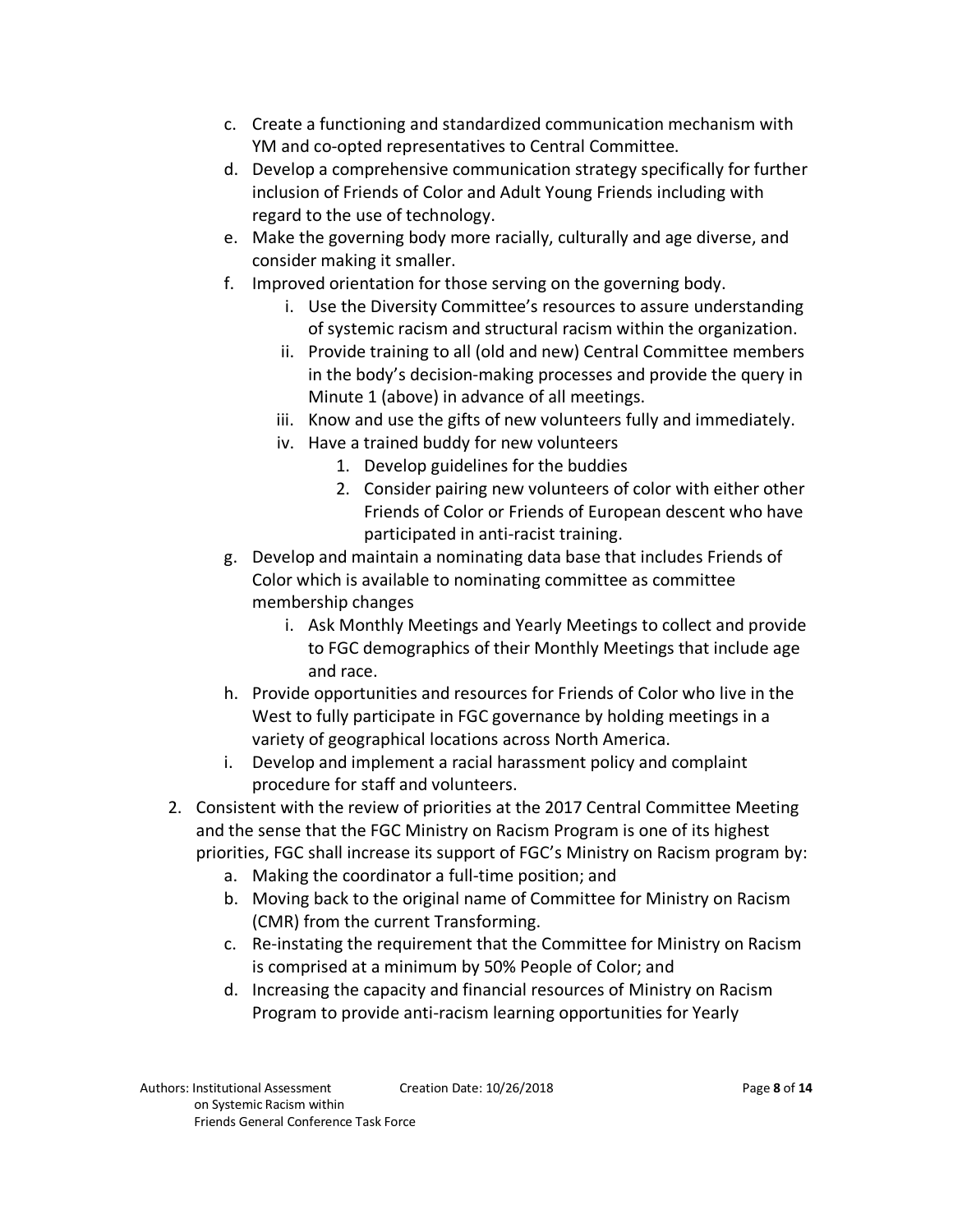- c. Create a functioning and standardized communication mechanism with YM and co-opted representatives to Central Committee.
- d. Develop a comprehensive communication strategy specifically for further inclusion of Friends of Color and Adult Young Friends including with regard to the use of technology.
- e. Make the governing body more racially, culturally and age diverse, and consider making it smaller.
- f. Improved orientation for those serving on the governing body.
	- i. Use the Diversity Committee's resources to assure understanding of systemic racism and structural racism within the organization.
	- ii. Provide training to all (old and new) Central Committee members in the body's decision-making processes and provide the query in Minute 1 (above) in advance of all meetings.
	- iii. Know and use the gifts of new volunteers fully and immediately.
	- iv. Have a trained buddy for new volunteers
		- 1. Develop guidelines for the buddies
		- 2. Consider pairing new volunteers of color with either other Friends of Color or Friends of European descent who have participated in anti-racist training.
- g. Develop and maintain a nominating data base that includes Friends of Color which is available to nominating committee as committee membership changes
	- i. Ask Monthly Meetings and Yearly Meetings to collect and provide to FGC demographics of their Monthly Meetings that include age and race.
- h. Provide opportunities and resources for Friends of Color who live in the West to fully participate in FGC governance by holding meetings in a variety of geographical locations across North America.
- i. Develop and implement a racial harassment policy and complaint procedure for staff and volunteers.
- 2. Consistent with the review of priorities at the 2017 Central Committee Meeting and the sense that the FGC Ministry on Racism Program is one of its highest priorities, FGC shall increase its support of FGC's Ministry on Racism program by:
	- a. Making the coordinator a full-time position; and
	- b. Moving back to the original name of Committee for Ministry on Racism (CMR) from the current Transforming.
	- c. Re-instating the requirement that the Committee for Ministry on Racism is comprised at a minimum by 50% People of Color; and
	- d. Increasing the capacity and financial resources of Ministry on Racism Program to provide anti-racism learning opportunities for Yearly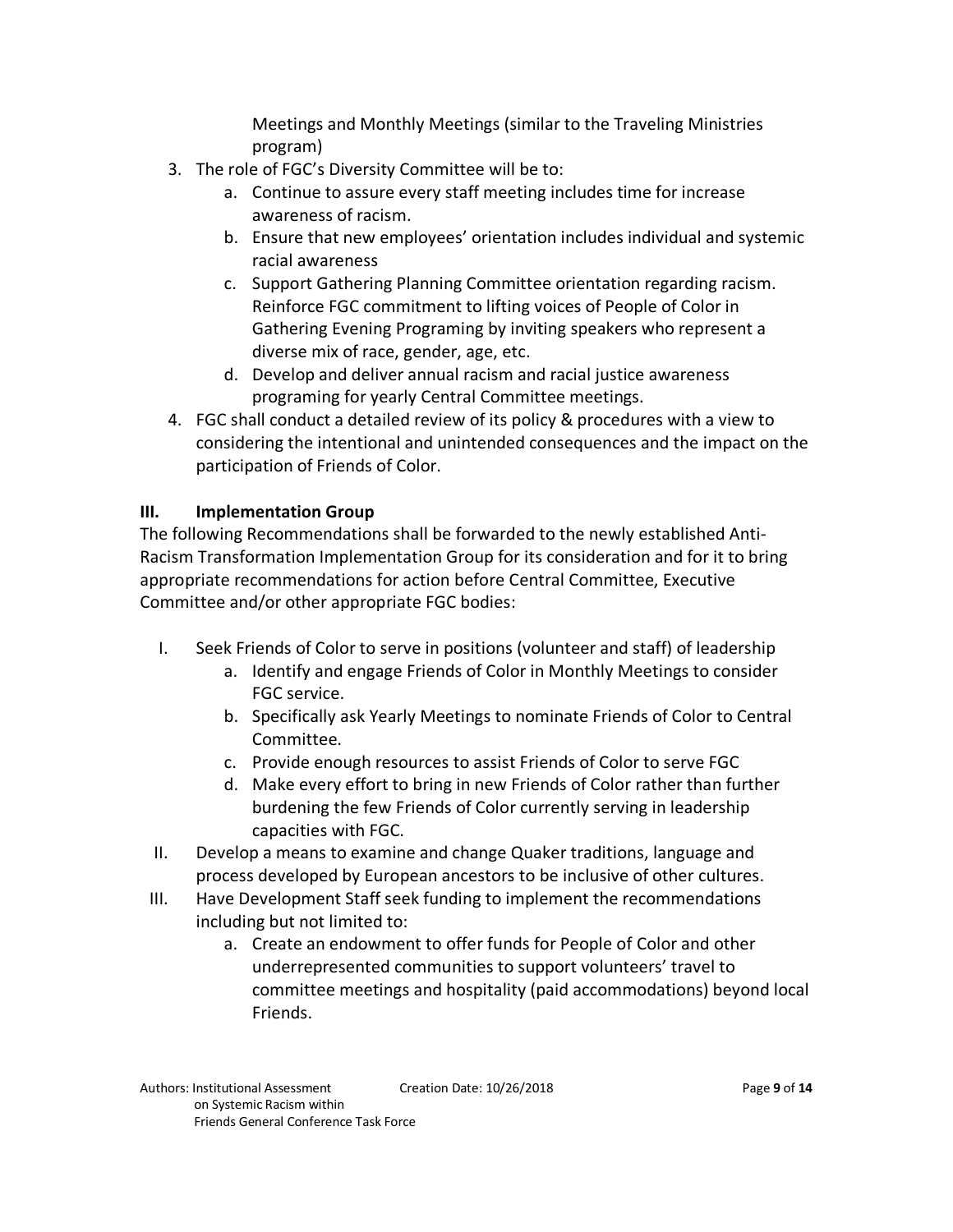Meetings and Monthly Meetings (similar to the Traveling Ministries program)

- 3. The role of FGC's Diversity Committee will be to:
	- a. Continue to assure every staff meeting includes time for increase awareness of racism.
	- b. Ensure that new employees' orientation includes individual and systemic racial awareness
	- c. Support Gathering Planning Committee orientation regarding racism. Reinforce FGC commitment to lifting voices of People of Color in Gathering Evening Programing by inviting speakers who represent a diverse mix of race, gender, age, etc.
	- d. Develop and deliver annual racism and racial justice awareness programing for yearly Central Committee meetings.
- 4. FGC shall conduct a detailed review of its policy & procedures with a view to considering the intentional and unintended consequences and the impact on the participation of Friends of Color.

#### **III. Implementation Group**

The following Recommendations shall be forwarded to the newly established Anti-Racism Transformation Implementation Group for its consideration and for it to bring appropriate recommendations for action before Central Committee, Executive Committee and/or other appropriate FGC bodies:

- I. Seek Friends of Color to serve in positions (volunteer and staff) of leadership
	- a. Identify and engage Friends of Color in Monthly Meetings to consider FGC service.
	- b. Specifically ask Yearly Meetings to nominate Friends of Color to Central Committee.
	- c. Provide enough resources to assist Friends of Color to serve FGC
	- d. Make every effort to bring in new Friends of Color rather than further burdening the few Friends of Color currently serving in leadership capacities with FGC.
- II. Develop a means to examine and change Quaker traditions, language and process developed by European ancestors to be inclusive of other cultures.
- III. Have Development Staff seek funding to implement the recommendations including but not limited to:
	- a. Create an endowment to offer funds for People of Color and other underrepresented communities to support volunteers' travel to committee meetings and hospitality (paid accommodations) beyond local Friends.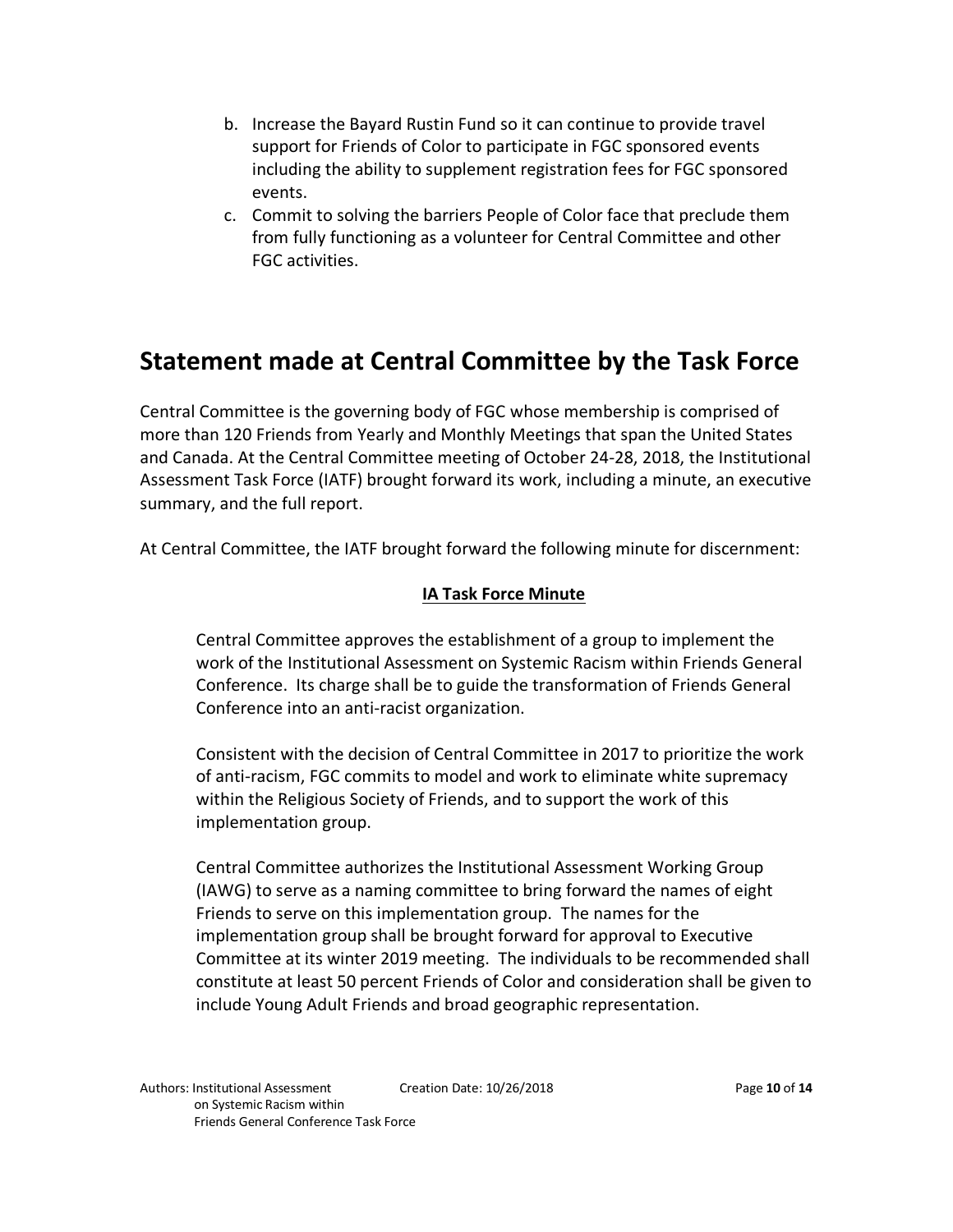- b. Increase the Bayard Rustin Fund so it can continue to provide travel support for Friends of Color to participate in FGC sponsored events including the ability to supplement registration fees for FGC sponsored events.
- c. Commit to solving the barriers People of Color face that preclude them from fully functioning as a volunteer for Central Committee and other FGC activities.

### **Statement made at Central Committee by the Task Force**

Central Committee is the governing body of FGC whose membership is comprised of more than 120 Friends from Yearly and Monthly Meetings that span the United States and Canada. At the Central Committee meeting of October 24-28, 2018, the Institutional Assessment Task Force (IATF) brought forward its work, including a minute, an executive summary, and the full report.

At Central Committee, the IATF brought forward the following minute for discernment:

#### **IA Task Force Minute**

Central Committee approves the establishment of a group to implement the work of the Institutional Assessment on Systemic Racism within Friends General Conference. Its charge shall be to guide the transformation of Friends General Conference into an anti-racist organization.

Consistent with the decision of Central Committee in 2017 to prioritize the work of anti-racism, FGC commits to model and work to eliminate white supremacy within the Religious Society of Friends, and to support the work of this implementation group.

Central Committee authorizes the Institutional Assessment Working Group (IAWG) to serve as a naming committee to bring forward the names of eight Friends to serve on this implementation group. The names for the implementation group shall be brought forward for approval to Executive Committee at its winter 2019 meeting. The individuals to be recommended shall constitute at least 50 percent Friends of Color and consideration shall be given to include Young Adult Friends and broad geographic representation.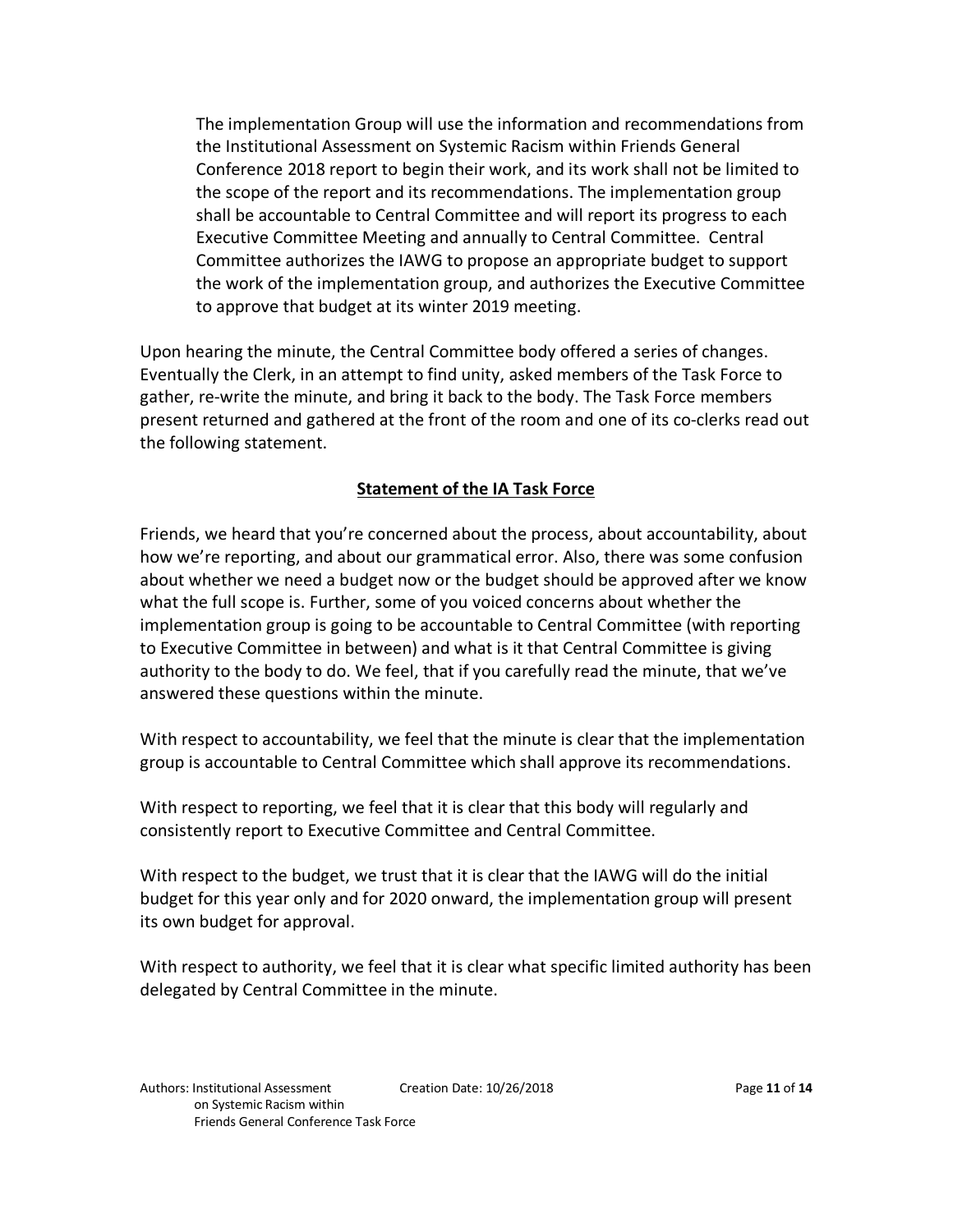The implementation Group will use the information and recommendations from the Institutional Assessment on Systemic Racism within Friends General Conference 2018 report to begin their work, and its work shall not be limited to the scope of the report and its recommendations. The implementation group shall be accountable to Central Committee and will report its progress to each Executive Committee Meeting and annually to Central Committee. Central Committee authorizes the IAWG to propose an appropriate budget to support the work of the implementation group, and authorizes the Executive Committee to approve that budget at its winter 2019 meeting.

Upon hearing the minute, the Central Committee body offered a series of changes. Eventually the Clerk, in an attempt to find unity, asked members of the Task Force to gather, re-write the minute, and bring it back to the body. The Task Force members present returned and gathered at the front of the room and one of its co-clerks read out the following statement.

#### **Statement of the IA Task Force**

Friends, we heard that you're concerned about the process, about accountability, about how we're reporting, and about our grammatical error. Also, there was some confusion about whether we need a budget now or the budget should be approved after we know what the full scope is. Further, some of you voiced concerns about whether the implementation group is going to be accountable to Central Committee (with reporting to Executive Committee in between) and what is it that Central Committee is giving authority to the body to do. We feel, that if you carefully read the minute, that we've answered these questions within the minute.

With respect to accountability, we feel that the minute is clear that the implementation group is accountable to Central Committee which shall approve its recommendations.

With respect to reporting, we feel that it is clear that this body will regularly and consistently report to Executive Committee and Central Committee.

With respect to the budget, we trust that it is clear that the IAWG will do the initial budget for this year only and for 2020 onward, the implementation group will present its own budget for approval.

With respect to authority, we feel that it is clear what specific limited authority has been delegated by Central Committee in the minute.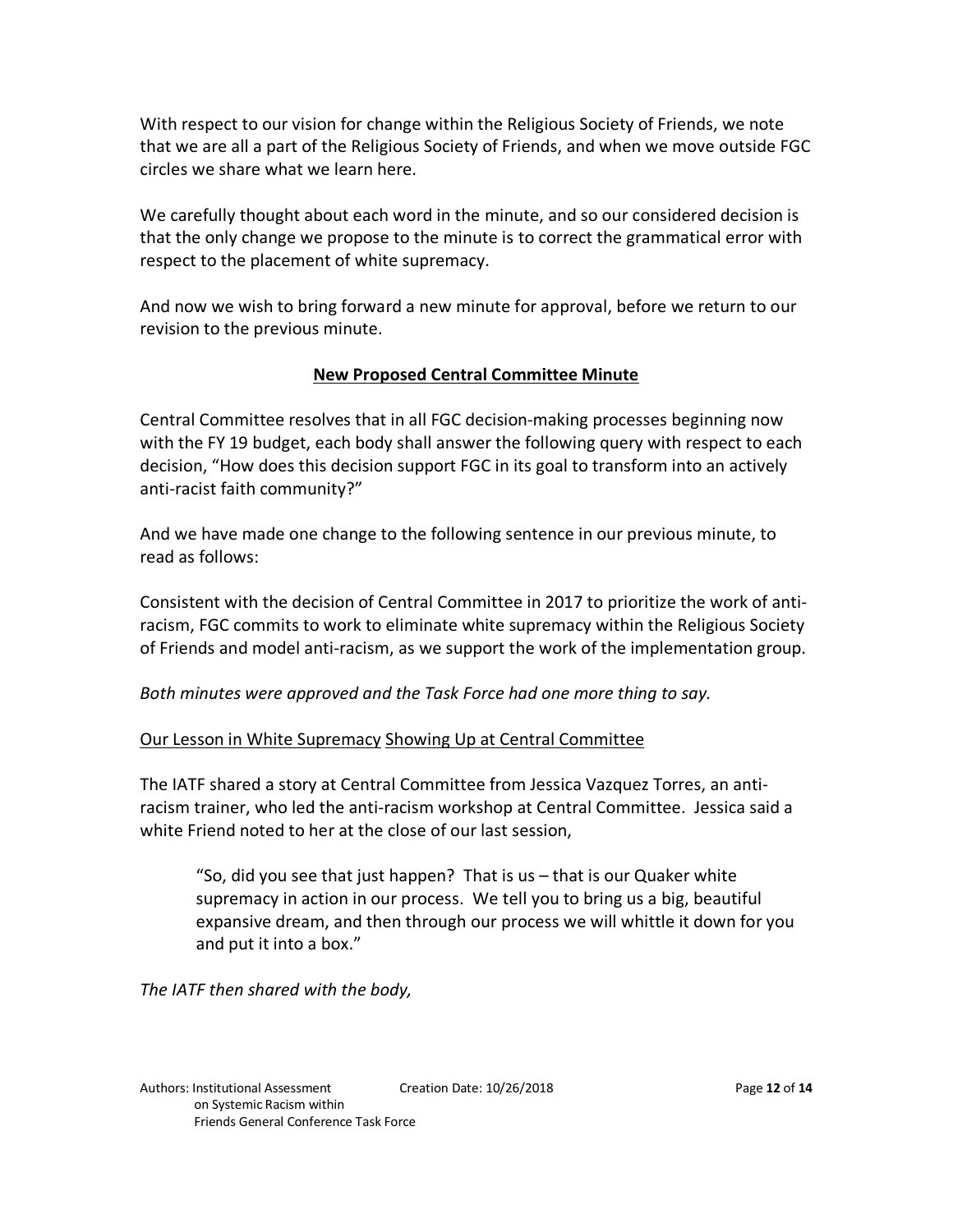With respect to our vision for change within the Religious Society of Friends, we note that we are all a part of the Religious Society of Friends, and when we move outside FGC circles we share what we learn here.

We carefully thought about each word in the minute, and so our considered decision is that the only change we propose to the minute is to correct the grammatical error with respect to the placement of white supremacy.

And now we wish to bring forward a new minute for approval, before we return to our revision to the previous minute.

#### **New Proposed Central Committee Minute**

Central Committee resolves that in all FGC decision-making processes beginning now with the FY 19 budget, each body shall answer the following query with respect to each decision, "How does this decision support FGC in its goal to transform into an actively anti-racist faith community?"

And we have made one change to the following sentence in our previous minute, to read as follows:

Consistent with the decision of Central Committee in 2017 to prioritize the work of antiracism, FGC commits to work to eliminate white supremacy within the Religious Society of Friends and model anti-racism, as we support the work of the implementation group.

*Both minutes were approved and the Task Force had one more thing to say.*

#### Our Lesson in White Supremacy Showing Up at Central Committee

The IATF shared a story at Central Committee from Jessica Vazquez Torres, an antiracism trainer, who led the anti-racism workshop at Central Committee. Jessica said a white Friend noted to her at the close of our last session,

"So, did you see that just happen? That is us – that is our Quaker white supremacy in action in our process. We tell you to bring us a big, beautiful expansive dream, and then through our process we will whittle it down for you and put it into a box."

*The IATF then shared with the body,*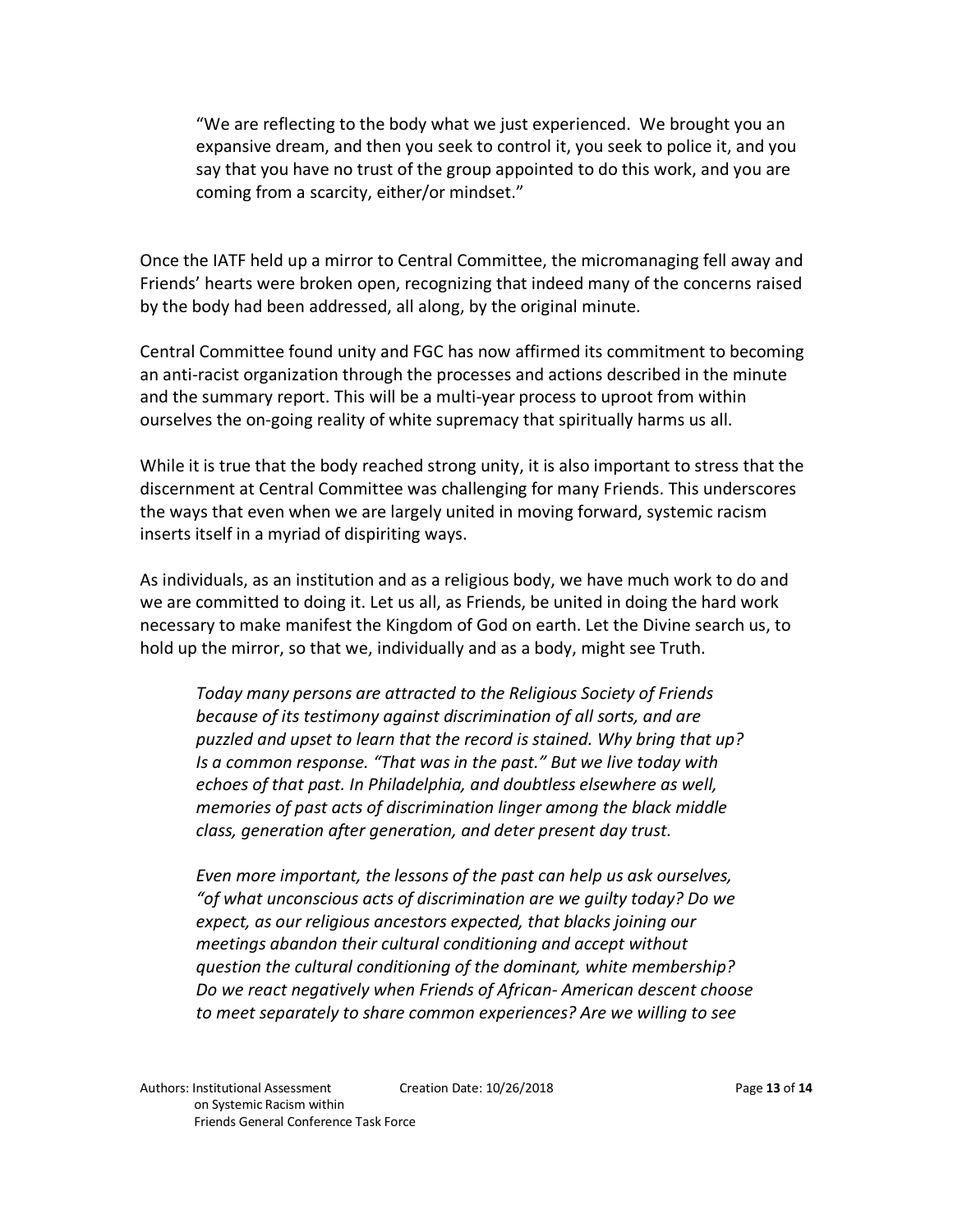"We are reflecting to the body what we just experienced. We brought you an expansive dream, and then you seek to control it, you seek to police it, and you say that you have no trust of the group appointed to do this work, and you are coming from a scarcity, either/or mindset."

Once the IATF held up a mirror to Central Committee, the micromanaging fell away and Friends' hearts were broken open, recognizing that indeed many of the concerns raised by the body had been addressed, all along, by the original minute.

Central Committee found unity and FGC has now affirmed its commitment to becoming an anti-racist organization through the processes and actions described in the minute and the summary report. This will be a multi-year process to uproot from within ourselves the on-going reality of white supremacy that spiritually harms us all.

While it is true that the body reached strong unity, it is also important to stress that the discernment at Central Committee was challenging for many Friends. This underscores the ways that even when we are largely united in moving forward, systemic racism inserts itself in a myriad of dispiriting ways.

As individuals, as an institution and as a religious body, we have much work to do and we are committed to doing it. Let us all, as Friends, be united in doing the hard work necessary to make manifest the Kingdom of God on earth. Let the Divine search us, to hold up the mirror, so that we, individually and as a body, might see Truth.

*Today many persons are attracted to the Religious Society of Friends because of its testimony against discrimination of all sorts, and are puzzled and upset to learn that the record is stained. Why bring that up? Is a common response. "That was in the past." But we live today with echoes of that past. In Philadelphia, and doubtless elsewhere as well, memories of past acts of discrimination linger among the black middle class, generation after generation, and deter present day trust.*

*Even more important, the lessons of the past can help us ask ourselves, "of what unconscious acts of discrimination are we guilty today? Do we expect, as our religious ancestors expected, that blacks joining our meetings abandon their cultural conditioning and accept without question the cultural conditioning of the dominant, white membership? Do we react negatively when Friends of African- American descent choose to meet separately to share common experiences? Are we willing to see*